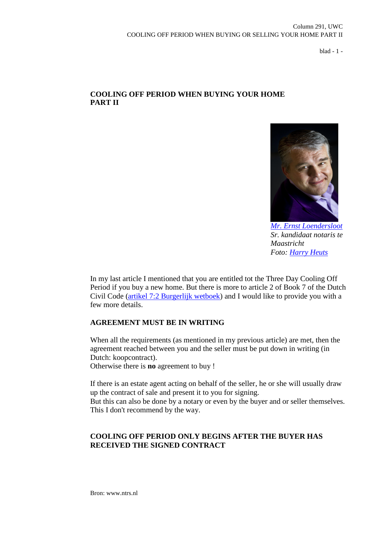blad - 1 -

# **COOLING OFF PERIOD WHEN BUYING YOUR HOME PART II**



*[Mr. Ernst Loendersloot](http://www.linkedin.com/pub/ernst-loendersloot/10/ab9/aaa) Sr. kandidaat notaris te Maastricht Foto: [Harry Heuts](http://www.linkedin.com/pub/harry-heuts/2b/497/613)*

In my last article I mentioned that you are entitled tot the Three Day Cooling Off Period if you buy a new home. But there is more to article 2 of Book 7 of the Dutch Civil Code [\(artikel 7:2 Burgerlijk wetboek\)](http://maxius.nl/burgerlijk-wetboek-boek-7/artikel2) and I would like to provide you with a few more details.

## **AGREEMENT MUST BE IN WRITING**

When all the requirements (as mentioned in my previous article) are met, then the agreement reached between you and the seller must be put down in writing (in Dutch: koopcontract). Otherwise there is **no** agreement to buy !

If there is an estate agent acting on behalf of the seller, he or she will usually draw up the contract of sale and present it to you for signing.

But this can also be done by a notary or even by the buyer and or seller themselves. This I don't recommend by the way.

# **COOLING OFF PERIOD ONLY BEGINS AFTER THE BUYER HAS RECEIVED THE SIGNED CONTRACT**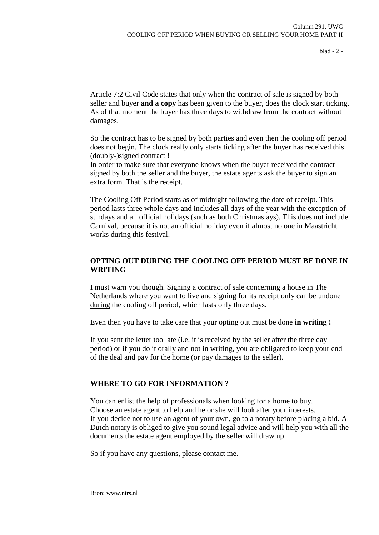blad - 2 -

Article 7:2 Civil Code states that only when the contract of sale is signed by both seller and buyer **and a copy** has been given to the buyer, does the clock start ticking. As of that moment the buyer has three days to withdraw from the contract without damages.

So the contract has to be signed by both parties and even then the cooling off period does not begin. The clock really only starts ticking after the buyer has received this (doubly-)signed contract !

In order to make sure that everyone knows when the buyer received the contract signed by both the seller and the buyer, the estate agents ask the buyer to sign an extra form. That is the receipt.

The Cooling Off Period starts as of midnight following the date of receipt. This period lasts three whole days and includes all days of the year with the exception of sundays and all official holidays (such as both Christmas ays). This does not include Carnival, because it is not an official holiday even if almost no one in Maastricht works during this festival.

# **OPTING OUT DURING THE COOLING OFF PERIOD MUST BE DONE IN WRITING**

I must warn you though. Signing a contract of sale concerning a house in The Netherlands where you want to live and signing for its receipt only can be undone during the cooling off period, which lasts only three days.

Even then you have to take care that your opting out must be done **in writing !**

If you sent the letter too late (i.e. it is received by the seller after the three day period) or if you do it orally and not in writing, you are obligated to keep your end of the deal and pay for the home (or pay damages to the seller).

## **WHERE TO GO FOR INFORMATION ?**

You can enlist the help of professionals when looking for a home to buy. Choose an estate agent to help and he or she will look after your interests. If you decide not to use an agent of your own, go to a notary before placing a bid. A Dutch notary is obliged to give you sound legal advice and will help you with all the documents the estate agent employed by the seller will draw up.

So if you have any questions, please contact me.